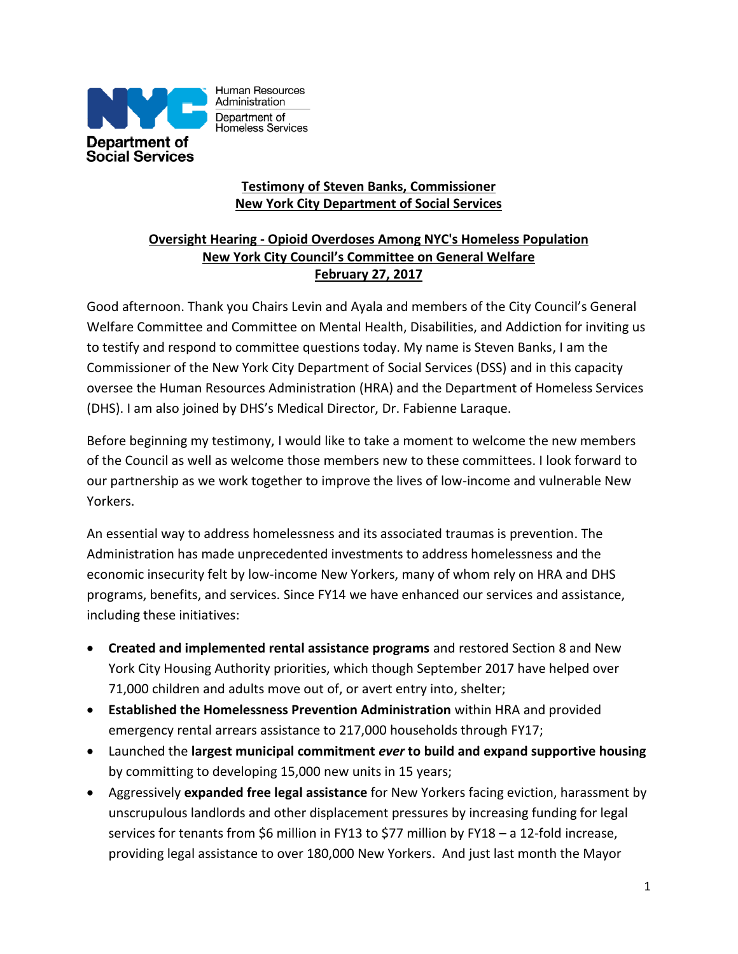

Human Resources Administration Department of Homeless Services

# **Testimony of Steven Banks, Commissioner New York City Department of Social Services**

## **Oversight Hearing - Opioid Overdoses Among NYC's Homeless Population New York City Council's Committee on General Welfare February 27, 2017**

Good afternoon. Thank you Chairs Levin and Ayala and members of the City Council's General Welfare Committee and Committee on Mental Health, Disabilities, and Addiction for inviting us to testify and respond to committee questions today. My name is Steven Banks, I am the Commissioner of the New York City Department of Social Services (DSS) and in this capacity oversee the Human Resources Administration (HRA) and the Department of Homeless Services (DHS). I am also joined by DHS's Medical Director, Dr. Fabienne Laraque.

Before beginning my testimony, I would like to take a moment to welcome the new members of the Council as well as welcome those members new to these committees. I look forward to our partnership as we work together to improve the lives of low-income and vulnerable New Yorkers.

An essential way to address homelessness and its associated traumas is prevention. The Administration has made unprecedented investments to address homelessness and the economic insecurity felt by low-income New Yorkers, many of whom rely on HRA and DHS programs, benefits, and services. Since FY14 we have enhanced our services and assistance, including these initiatives:

- **Created and implemented rental assistance programs** and restored Section 8 and New York City Housing Authority priorities, which though September 2017 have helped over 71,000 children and adults move out of, or avert entry into, shelter;
- **Established the Homelessness Prevention Administration** within HRA and provided emergency rental arrears assistance to 217,000 households through FY17;
- Launched the **largest municipal commitment** *ever* **to build and expand supportive housing** by committing to developing 15,000 new units in 15 years;
- Aggressively **expanded free legal assistance** for New Yorkers facing eviction, harassment by unscrupulous landlords and other displacement pressures by increasing funding for legal services for tenants from \$6 million in FY13 to \$77 million by FY18 – a 12-fold increase, providing legal assistance to over 180,000 New Yorkers. And just last month the Mayor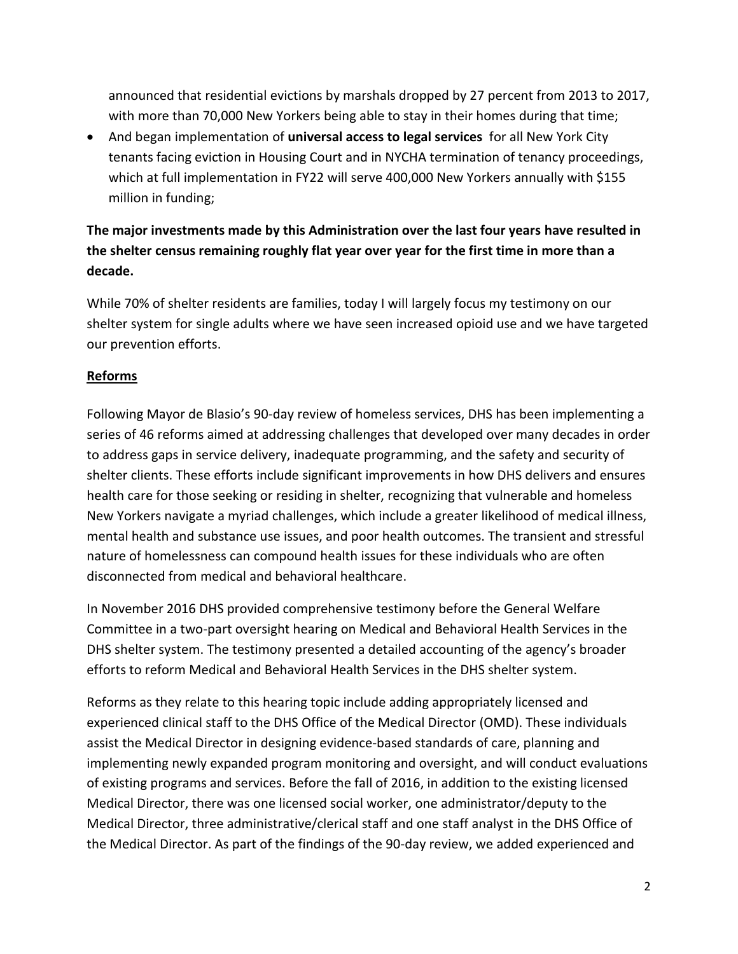announced that residential evictions by marshals dropped by 27 percent from 2013 to 2017, with more than 70,000 New Yorkers being able to stay in their homes during that time;

 And began implementation of **universal access to legal services** for all New York City tenants facing eviction in Housing Court and in NYCHA termination of tenancy proceedings, which at full implementation in FY22 will serve 400,000 New Yorkers annually with \$155 million in funding;

# **The major investments made by this Administration over the last four years have resulted in the shelter census remaining roughly flat year over year for the first time in more than a decade.**

While 70% of shelter residents are families, today I will largely focus my testimony on our shelter system for single adults where we have seen increased opioid use and we have targeted our prevention efforts.

## **Reforms**

Following Mayor de Blasio's 90-day review of homeless services, DHS has been implementing a series of 46 reforms aimed at addressing challenges that developed over many decades in order to address gaps in service delivery, inadequate programming, and the safety and security of shelter clients. These efforts include significant improvements in how DHS delivers and ensures health care for those seeking or residing in shelter, recognizing that vulnerable and homeless New Yorkers navigate a myriad challenges, which include a greater likelihood of medical illness, mental health and substance use issues, and poor health outcomes. The transient and stressful nature of homelessness can compound health issues for these individuals who are often disconnected from medical and behavioral healthcare.

In November 2016 DHS provided comprehensive testimony before the General Welfare Committee in a two-part oversight hearing on Medical and Behavioral Health Services in the DHS shelter system. The testimony presented a detailed accounting of the agency's broader efforts to reform Medical and Behavioral Health Services in the DHS shelter system.

Reforms as they relate to this hearing topic include adding appropriately licensed and experienced clinical staff to the DHS Office of the Medical Director (OMD). These individuals assist the Medical Director in designing evidence‐based standards of care, planning and implementing newly expanded program monitoring and oversight, and will conduct evaluations of existing programs and services. Before the fall of 2016, in addition to the existing licensed Medical Director, there was one licensed social worker, one administrator/deputy to the Medical Director, three administrative/clerical staff and one staff analyst in the DHS Office of the Medical Director. As part of the findings of the 90‐day review, we added experienced and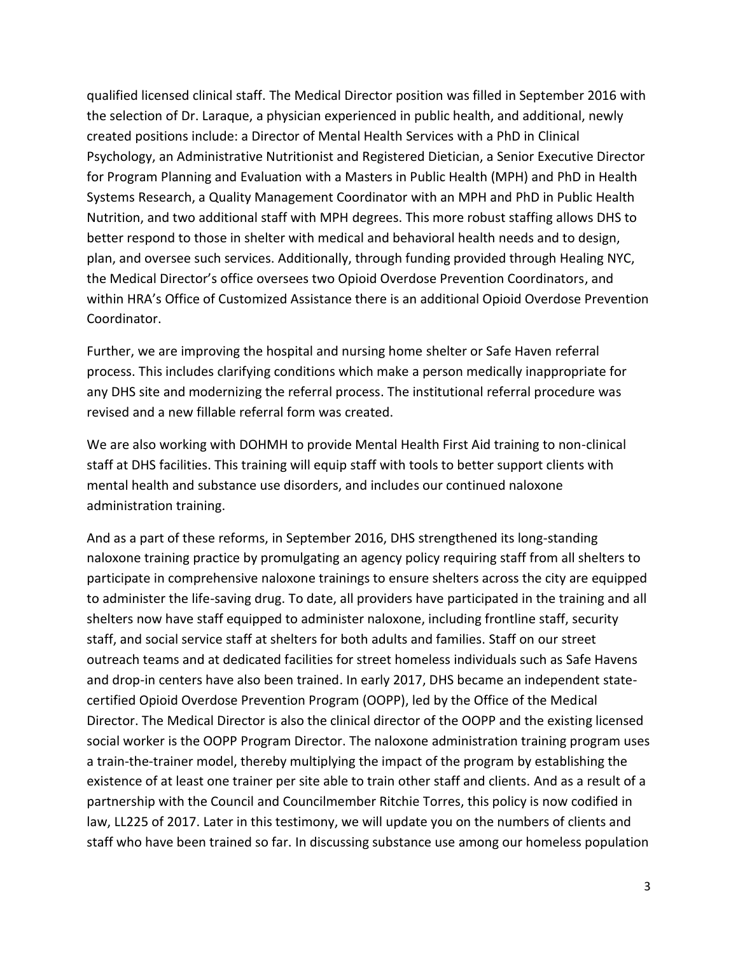qualified licensed clinical staff. The Medical Director position was filled in September 2016 with the selection of Dr. Laraque, a physician experienced in public health, and additional, newly created positions include: a Director of Mental Health Services with a PhD in Clinical Psychology, an Administrative Nutritionist and Registered Dietician, a Senior Executive Director for Program Planning and Evaluation with a Masters in Public Health (MPH) and PhD in Health Systems Research, a Quality Management Coordinator with an MPH and PhD in Public Health Nutrition, and two additional staff with MPH degrees. This more robust staffing allows DHS to better respond to those in shelter with medical and behavioral health needs and to design, plan, and oversee such services. Additionally, through funding provided through Healing NYC, the Medical Director's office oversees two Opioid Overdose Prevention Coordinators, and within HRA's Office of Customized Assistance there is an additional Opioid Overdose Prevention Coordinator.

Further, we are improving the hospital and nursing home shelter or Safe Haven referral process. This includes clarifying conditions which make a person medically inappropriate for any DHS site and modernizing the referral process. The institutional referral procedure was revised and a new fillable referral form was created.

We are also working with DOHMH to provide Mental Health First Aid training to non-clinical staff at DHS facilities. This training will equip staff with tools to better support clients with mental health and substance use disorders, and includes our continued naloxone administration training.

And as a part of these reforms, in September 2016, DHS strengthened its long-standing naloxone training practice by promulgating an agency policy requiring staff from all shelters to participate in comprehensive naloxone trainings to ensure shelters across the city are equipped to administer the life-saving drug. To date, all providers have participated in the training and all shelters now have staff equipped to administer naloxone, including frontline staff, security staff, and social service staff at shelters for both adults and families. Staff on our street outreach teams and at dedicated facilities for street homeless individuals such as Safe Havens and drop-in centers have also been trained. In early 2017, DHS became an independent statecertified Opioid Overdose Prevention Program (OOPP), led by the Office of the Medical Director. The Medical Director is also the clinical director of the OOPP and the existing licensed social worker is the OOPP Program Director. The naloxone administration training program uses a train-the-trainer model, thereby multiplying the impact of the program by establishing the existence of at least one trainer per site able to train other staff and clients. And as a result of a partnership with the Council and Councilmember Ritchie Torres, this policy is now codified in law, LL225 of 2017. Later in this testimony, we will update you on the numbers of clients and staff who have been trained so far. In discussing substance use among our homeless population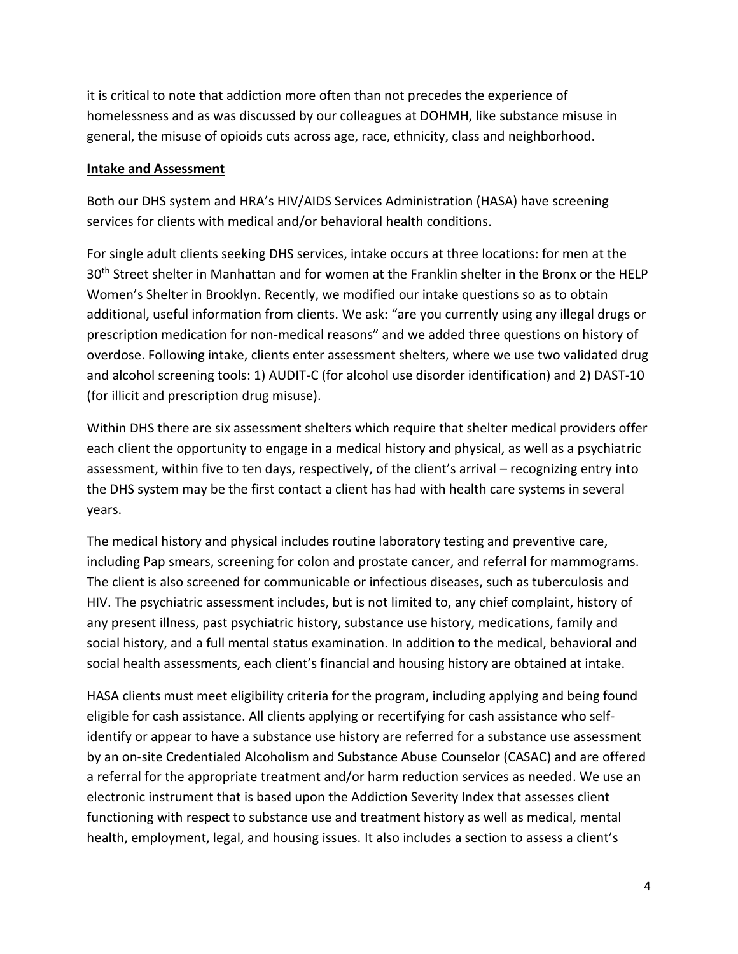it is critical to note that addiction more often than not precedes the experience of homelessness and as was discussed by our colleagues at DOHMH, like substance misuse in general, the misuse of opioids cuts across age, race, ethnicity, class and neighborhood.

## **Intake and Assessment**

Both our DHS system and HRA's HIV/AIDS Services Administration (HASA) have screening services for clients with medical and/or behavioral health conditions.

For single adult clients seeking DHS services, intake occurs at three locations: for men at the 30<sup>th</sup> Street shelter in Manhattan and for women at the Franklin shelter in the Bronx or the HELP Women's Shelter in Brooklyn. Recently, we modified our intake questions so as to obtain additional, useful information from clients. We ask: "are you currently using any illegal drugs or prescription medication for non-medical reasons" and we added three questions on history of overdose. Following intake, clients enter assessment shelters, where we use two validated drug and alcohol screening tools: 1) AUDIT-C (for alcohol use disorder identification) and 2) DAST-10 (for illicit and prescription drug misuse).

Within DHS there are six assessment shelters which require that shelter medical providers offer each client the opportunity to engage in a medical history and physical, as well as a psychiatric assessment, within five to ten days, respectively, of the client's arrival – recognizing entry into the DHS system may be the first contact a client has had with health care systems in several years.

The medical history and physical includes routine laboratory testing and preventive care, including Pap smears, screening for colon and prostate cancer, and referral for mammograms. The client is also screened for communicable or infectious diseases, such as tuberculosis and HIV. The psychiatric assessment includes, but is not limited to, any chief complaint, history of any present illness, past psychiatric history, substance use history, medications, family and social history, and a full mental status examination. In addition to the medical, behavioral and social health assessments, each client's financial and housing history are obtained at intake.

HASA clients must meet eligibility criteria for the program, including applying and being found eligible for cash assistance. All clients applying or recertifying for cash assistance who selfidentify or appear to have a substance use history are referred for a substance use assessment by an on-site Credentialed Alcoholism and Substance Abuse Counselor (CASAC) and are offered a referral for the appropriate treatment and/or harm reduction services as needed. We use an electronic instrument that is based upon the Addiction Severity Index that assesses client functioning with respect to substance use and treatment history as well as medical, mental health, employment, legal, and housing issues. It also includes a section to assess a client's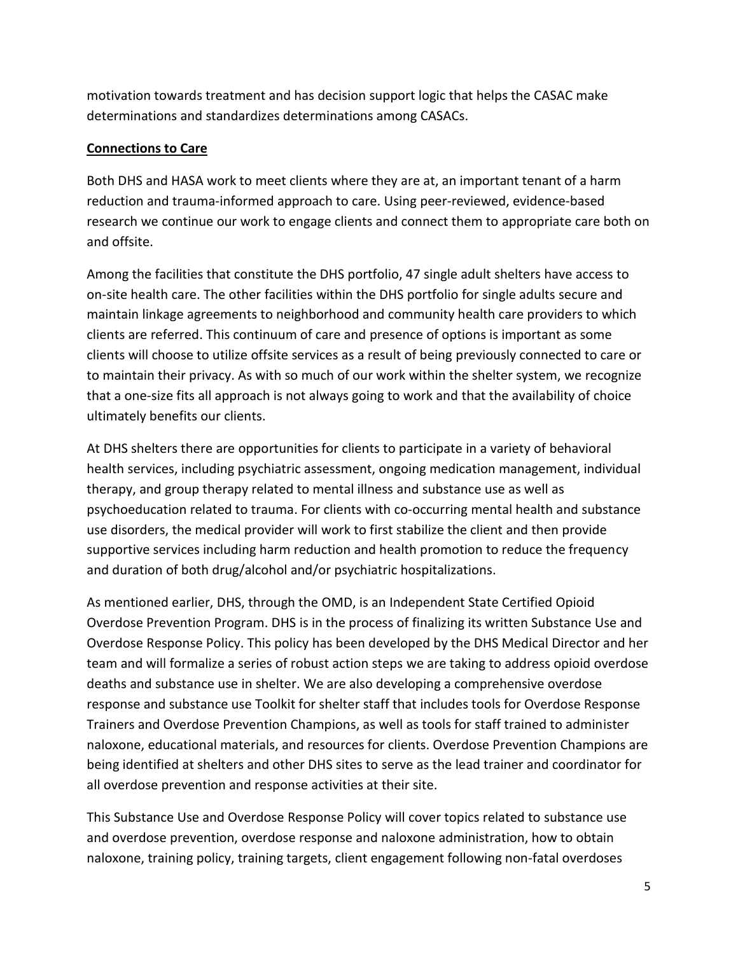motivation towards treatment and has decision support logic that helps the CASAC make determinations and standardizes determinations among CASACs.

## **Connections to Care**

Both DHS and HASA work to meet clients where they are at, an important tenant of a harm reduction and trauma-informed approach to care. Using peer-reviewed, evidence-based research we continue our work to engage clients and connect them to appropriate care both on and offsite.

Among the facilities that constitute the DHS portfolio, 47 single adult shelters have access to on‐site health care. The other facilities within the DHS portfolio for single adults secure and maintain linkage agreements to neighborhood and community health care providers to which clients are referred. This continuum of care and presence of options is important as some clients will choose to utilize offsite services as a result of being previously connected to care or to maintain their privacy. As with so much of our work within the shelter system, we recognize that a one-size fits all approach is not always going to work and that the availability of choice ultimately benefits our clients.

At DHS shelters there are opportunities for clients to participate in a variety of behavioral health services, including psychiatric assessment, ongoing medication management, individual therapy, and group therapy related to mental illness and substance use as well as psychoeducation related to trauma. For clients with co-occurring mental health and substance use disorders, the medical provider will work to first stabilize the client and then provide supportive services including harm reduction and health promotion to reduce the frequency and duration of both drug/alcohol and/or psychiatric hospitalizations.

As mentioned earlier, DHS, through the OMD, is an Independent State Certified Opioid Overdose Prevention Program. DHS is in the process of finalizing its written Substance Use and Overdose Response Policy. This policy has been developed by the DHS Medical Director and her team and will formalize a series of robust action steps we are taking to address opioid overdose deaths and substance use in shelter. We are also developing a comprehensive overdose response and substance use Toolkit for shelter staff that includes tools for Overdose Response Trainers and Overdose Prevention Champions, as well as tools for staff trained to administer naloxone, educational materials, and resources for clients. Overdose Prevention Champions are being identified at shelters and other DHS sites to serve as the lead trainer and coordinator for all overdose prevention and response activities at their site.

This Substance Use and Overdose Response Policy will cover topics related to substance use and overdose prevention, overdose response and naloxone administration, how to obtain naloxone, training policy, training targets, client engagement following non-fatal overdoses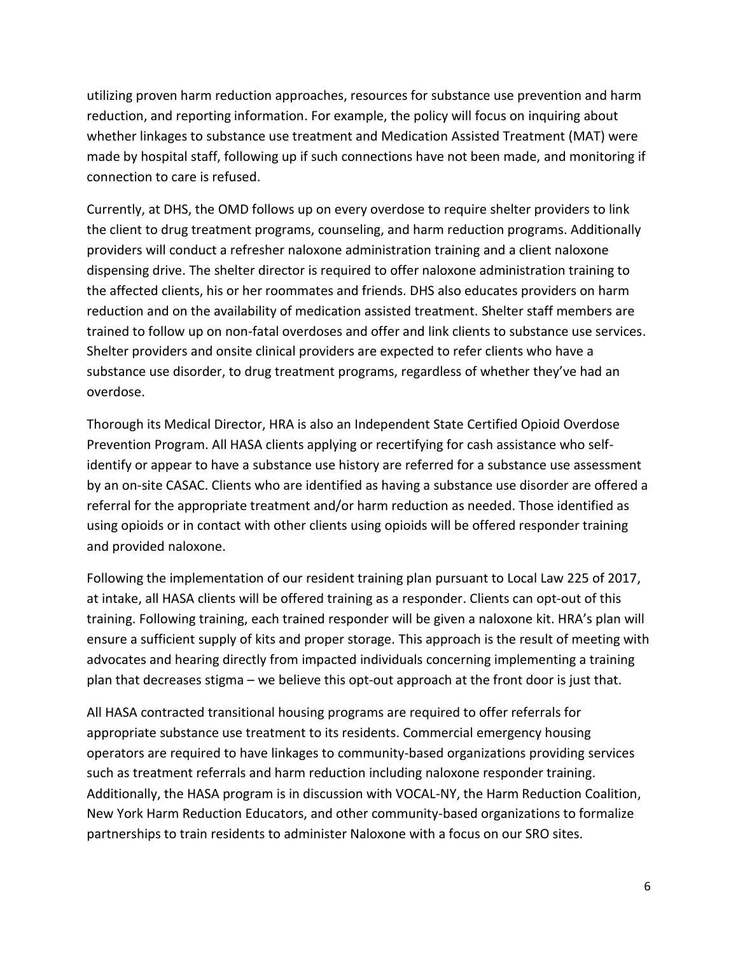utilizing proven harm reduction approaches, resources for substance use prevention and harm reduction, and reporting information. For example, the policy will focus on inquiring about whether linkages to substance use treatment and Medication Assisted Treatment (MAT) were made by hospital staff, following up if such connections have not been made, and monitoring if connection to care is refused.

Currently, at DHS, the OMD follows up on every overdose to require shelter providers to link the client to drug treatment programs, counseling, and harm reduction programs. Additionally providers will conduct a refresher naloxone administration training and a client naloxone dispensing drive. The shelter director is required to offer naloxone administration training to the affected clients, his or her roommates and friends. DHS also educates providers on harm reduction and on the availability of medication assisted treatment. Shelter staff members are trained to follow up on non-fatal overdoses and offer and link clients to substance use services. Shelter providers and onsite clinical providers are expected to refer clients who have a substance use disorder, to drug treatment programs, regardless of whether they've had an overdose.

Thorough its Medical Director, HRA is also an Independent State Certified Opioid Overdose Prevention Program. All HASA clients applying or recertifying for cash assistance who selfidentify or appear to have a substance use history are referred for a substance use assessment by an on-site CASAC. Clients who are identified as having a substance use disorder are offered a referral for the appropriate treatment and/or harm reduction as needed. Those identified as using opioids or in contact with other clients using opioids will be offered responder training and provided naloxone.

Following the implementation of our resident training plan pursuant to Local Law 225 of 2017, at intake, all HASA clients will be offered training as a responder. Clients can opt-out of this training. Following training, each trained responder will be given a naloxone kit. HRA's plan will ensure a sufficient supply of kits and proper storage. This approach is the result of meeting with advocates and hearing directly from impacted individuals concerning implementing a training plan that decreases stigma – we believe this opt-out approach at the front door is just that.

All HASA contracted transitional housing programs are required to offer referrals for appropriate substance use treatment to its residents. Commercial emergency housing operators are required to have linkages to community-based organizations providing services such as treatment referrals and harm reduction including naloxone responder training. Additionally, the HASA program is in discussion with VOCAL-NY, the Harm Reduction Coalition, New York Harm Reduction Educators, and other community-based organizations to formalize partnerships to train residents to administer Naloxone with a focus on our SRO sites.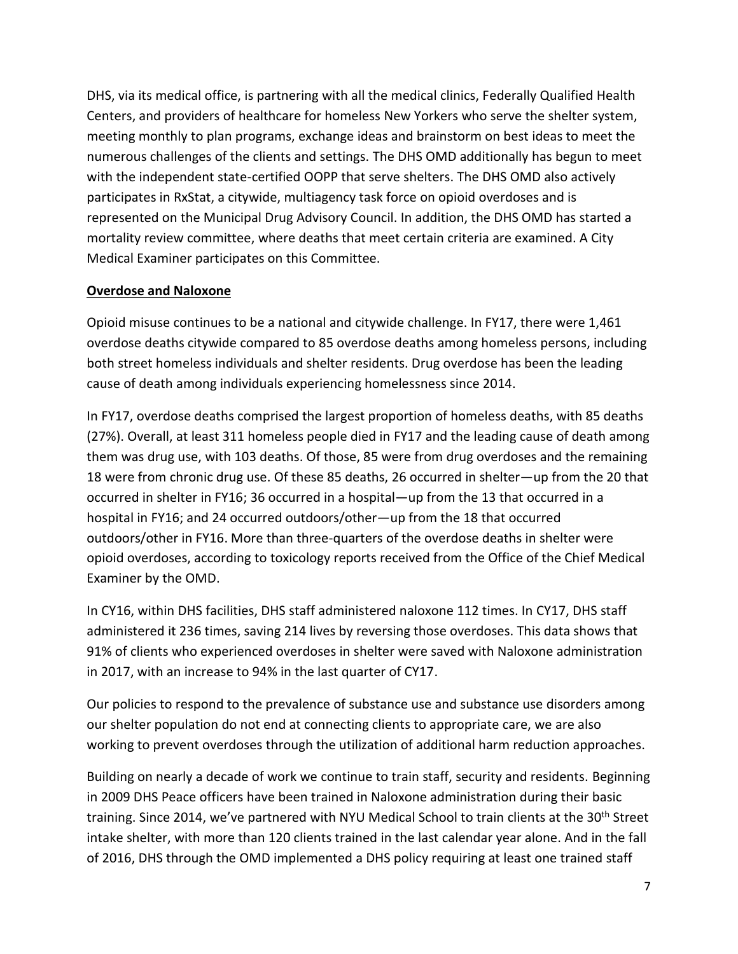DHS, via its medical office, is partnering with all the medical clinics, Federally Qualified Health Centers, and providers of healthcare for homeless New Yorkers who serve the shelter system, meeting monthly to plan programs, exchange ideas and brainstorm on best ideas to meet the numerous challenges of the clients and settings. The DHS OMD additionally has begun to meet with the independent state-certified OOPP that serve shelters. The DHS OMD also actively participates in RxStat, a citywide, multiagency task force on opioid overdoses and is represented on the Municipal Drug Advisory Council. In addition, the DHS OMD has started a mortality review committee, where deaths that meet certain criteria are examined. A City Medical Examiner participates on this Committee.

## **Overdose and Naloxone**

Opioid misuse continues to be a national and citywide challenge. In FY17, there were 1,461 overdose deaths citywide compared to 85 overdose deaths among homeless persons, including both street homeless individuals and shelter residents. Drug overdose has been the leading cause of death among individuals experiencing homelessness since 2014.

In FY17, overdose deaths comprised the largest proportion of homeless deaths, with 85 deaths (27%). Overall, at least 311 homeless people died in FY17 and the leading cause of death among them was drug use, with 103 deaths. Of those, 85 were from drug overdoses and the remaining 18 were from chronic drug use. Of these 85 deaths, 26 occurred in shelter—up from the 20 that occurred in shelter in FY16; 36 occurred in a hospital—up from the 13 that occurred in a hospital in FY16; and 24 occurred outdoors/other—up from the 18 that occurred outdoors/other in FY16. More than three-quarters of the overdose deaths in shelter were opioid overdoses, according to toxicology reports received from the Office of the Chief Medical Examiner by the OMD.

In CY16, within DHS facilities, DHS staff administered naloxone 112 times. In CY17, DHS staff administered it 236 times, saving 214 lives by reversing those overdoses. This data shows that 91% of clients who experienced overdoses in shelter were saved with Naloxone administration in 2017, with an increase to 94% in the last quarter of CY17.

Our policies to respond to the prevalence of substance use and substance use disorders among our shelter population do not end at connecting clients to appropriate care, we are also working to prevent overdoses through the utilization of additional harm reduction approaches.

Building on nearly a decade of work we continue to train staff, security and residents. Beginning in 2009 DHS Peace officers have been trained in Naloxone administration during their basic training. Since 2014, we've partnered with NYU Medical School to train clients at the 30<sup>th</sup> Street intake shelter, with more than 120 clients trained in the last calendar year alone. And in the fall of 2016, DHS through the OMD implemented a DHS policy requiring at least one trained staff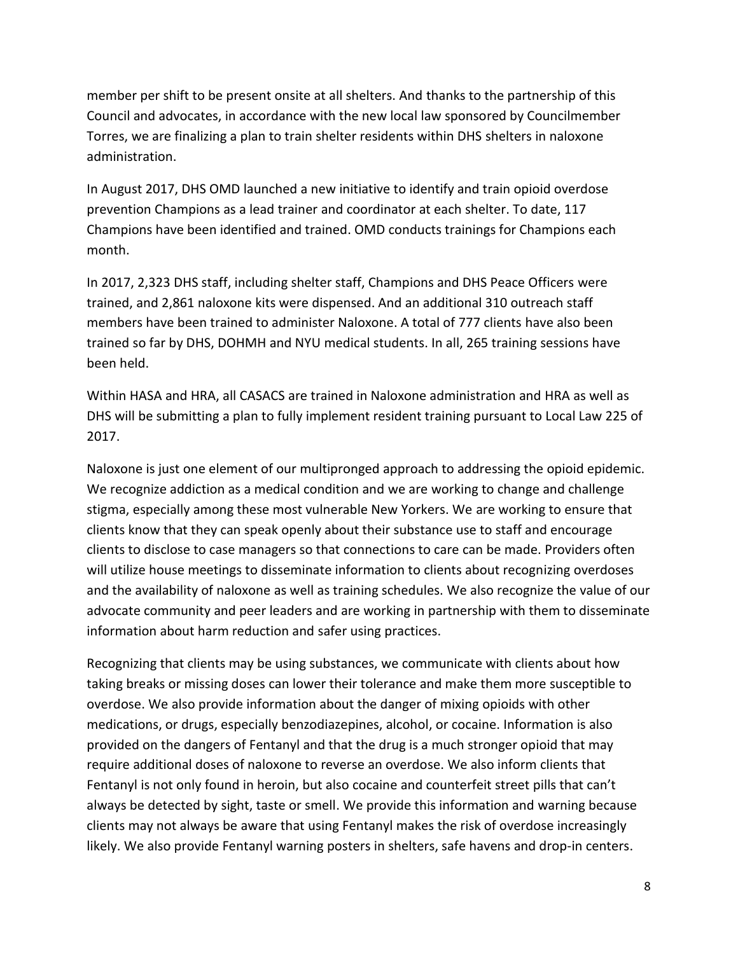member per shift to be present onsite at all shelters. And thanks to the partnership of this Council and advocates, in accordance with the new local law sponsored by Councilmember Torres, we are finalizing a plan to train shelter residents within DHS shelters in naloxone administration.

In August 2017, DHS OMD launched a new initiative to identify and train opioid overdose prevention Champions as a lead trainer and coordinator at each shelter. To date, 117 Champions have been identified and trained. OMD conducts trainings for Champions each month.

In 2017, 2,323 DHS staff, including shelter staff, Champions and DHS Peace Officers were trained, and 2,861 naloxone kits were dispensed. And an additional 310 outreach staff members have been trained to administer Naloxone. A total of 777 clients have also been trained so far by DHS, DOHMH and NYU medical students. In all, 265 training sessions have been held.

Within HASA and HRA, all CASACS are trained in Naloxone administration and HRA as well as DHS will be submitting a plan to fully implement resident training pursuant to Local Law 225 of 2017.

Naloxone is just one element of our multipronged approach to addressing the opioid epidemic. We recognize addiction as a medical condition and we are working to change and challenge stigma, especially among these most vulnerable New Yorkers. We are working to ensure that clients know that they can speak openly about their substance use to staff and encourage clients to disclose to case managers so that connections to care can be made. Providers often will utilize house meetings to disseminate information to clients about recognizing overdoses and the availability of naloxone as well as training schedules. We also recognize the value of our advocate community and peer leaders and are working in partnership with them to disseminate information about harm reduction and safer using practices.

Recognizing that clients may be using substances, we communicate with clients about how taking breaks or missing doses can lower their tolerance and make them more susceptible to overdose. We also provide information about the danger of mixing opioids with other medications, or drugs, especially benzodiazepines, alcohol, or cocaine. Information is also provided on the dangers of Fentanyl and that the drug is a much stronger opioid that may require additional doses of naloxone to reverse an overdose. We also inform clients that Fentanyl is not only found in heroin, but also cocaine and counterfeit street pills that can't always be detected by sight, taste or smell. We provide this information and warning because clients may not always be aware that using Fentanyl makes the risk of overdose increasingly likely. We also provide Fentanyl warning posters in shelters, safe havens and drop-in centers.